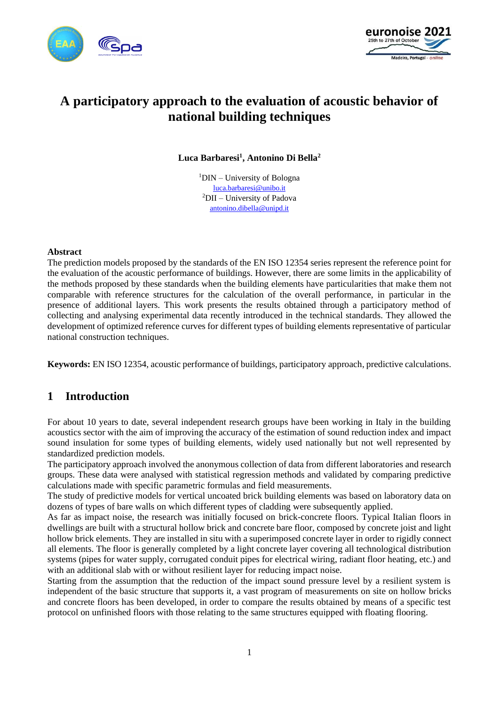



# **A participatory approach to the evaluation of acoustic behavior of national building techniques**

**Luca Barbaresi<sup>1</sup> , Antonino Di Bella<sup>2</sup>**

 $1$ DIN – University of Bologna [luca.barbaresi@unibo.it](mailto:luca.barbaresi@unibo.it) <sup>2</sup>DII – University of Padova [antonino.dibella@unipd.it](mailto:antonino.dibella@unipd.it)

#### **Abstract**

The prediction models proposed by the standards of the EN ISO 12354 series represent the reference point for the evaluation of the acoustic performance of buildings. However, there are some limits in the applicability of the methods proposed by these standards when the building elements have particularities that make them not comparable with reference structures for the calculation of the overall performance, in particular in the presence of additional layers. This work presents the results obtained through a participatory method of collecting and analysing experimental data recently introduced in the technical standards. They allowed the development of optimized reference curves for different types of building elements representative of particular national construction techniques.

**Keywords:** EN ISO 12354, acoustic performance of buildings, participatory approach, predictive calculations.

# **1 Introduction**

For about 10 years to date, several independent research groups have been working in Italy in the building acoustics sector with the aim of improving the accuracy of the estimation of sound reduction index and impact sound insulation for some types of building elements, widely used nationally but not well represented by standardized prediction models.

The participatory approach involved the anonymous collection of data from different laboratories and research groups. These data were analysed with statistical regression methods and validated by comparing predictive calculations made with specific parametric formulas and field measurements.

The study of predictive models for vertical uncoated brick building elements was based on laboratory data on dozens of types of bare walls on which different types of cladding were subsequently applied.

As far as impact noise, the research was initially focused on brick-concrete floors. Typical Italian floors in dwellings are built with a structural hollow brick and concrete bare floor, composed by concrete joist and light hollow brick elements. They are installed in situ with a superimposed concrete layer in order to rigidly connect all elements. The floor is generally completed by a light concrete layer covering all technological distribution systems (pipes for water supply, corrugated conduit pipes for electrical wiring, radiant floor heating, etc.) and with an additional slab with or without resilient layer for reducing impact noise.

Starting from the assumption that the reduction of the impact sound pressure level by a resilient system is independent of the basic structure that supports it, a vast program of measurements on site on hollow bricks and concrete floors has been developed, in order to compare the results obtained by means of a specific test protocol on unfinished floors with those relating to the same structures equipped with floating flooring.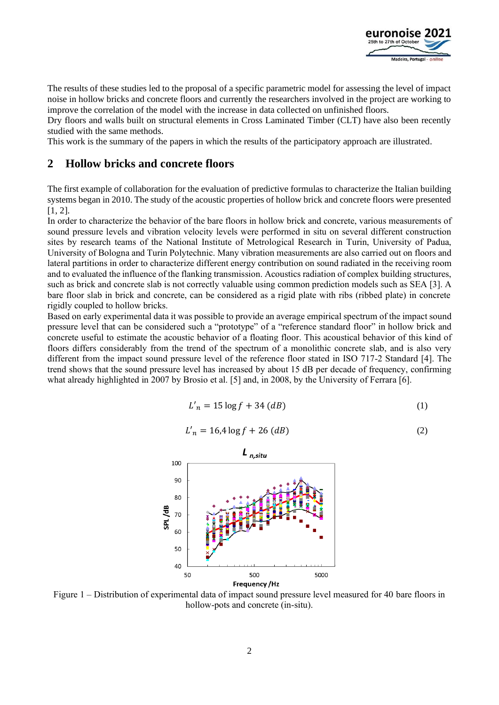

The results of these studies led to the proposal of a specific parametric model for assessing the level of impact noise in hollow bricks and concrete floors and currently the researchers involved in the project are working to improve the correlation of the model with the increase in data collected on unfinished floors.

Dry floors and walls built on structural elements in Cross Laminated Timber (CLT) have also been recently studied with the same methods.

This work is the summary of the papers in which the results of the participatory approach are illustrated.

### **2 Hollow bricks and concrete floors**

The first example of collaboration for the evaluation of predictive formulas to characterize the Italian building systems began in 2010. The study of the acoustic properties of hollow brick and concrete floors were presented [1, 2].

In order to characterize the behavior of the bare floors in hollow brick and concrete, various measurements of sound pressure levels and vibration velocity levels were performed in situ on several different construction sites by research teams of the National Institute of Metrological Research in Turin, University of Padua, University of Bologna and Turin Polytechnic. Many vibration measurements are also carried out on floors and lateral partitions in order to characterize different energy contribution on sound radiated in the receiving room and to evaluated the influence of the flanking transmission. Acoustics radiation of complex building structures, such as brick and concrete slab is not correctly valuable using common prediction models such as SEA [3]. A bare floor slab in brick and concrete, can be considered as a rigid plate with ribs (ribbed plate) in concrete rigidly coupled to hollow bricks.

Based on early experimental data it was possible to provide an average empirical spectrum of the impact sound pressure level that can be considered such a "prototype" of a "reference standard floor" in hollow brick and concrete useful to estimate the acoustic behavior of a floating floor. This acoustical behavior of this kind of floors differs considerably from the trend of the spectrum of a monolithic concrete slab, and is also very different from the impact sound pressure level of the reference floor stated in ISO 717-2 Standard [4]. The trend shows that the sound pressure level has increased by about 15 dB per decade of frequency, confirming what already highlighted in 2007 by Brosio et al. [5] and, in 2008, by the University of Ferrara [6].

$$
L'_n = 15 \log f + 34 \, (dB) \tag{1}
$$

$$
L'_n = 16.4 \log f + 26 \, (dB) \tag{2}
$$



Figure 1 – Distribution of experimental data of impact sound pressure level measured for 40 bare floors in hollow-pots and concrete (in-situ).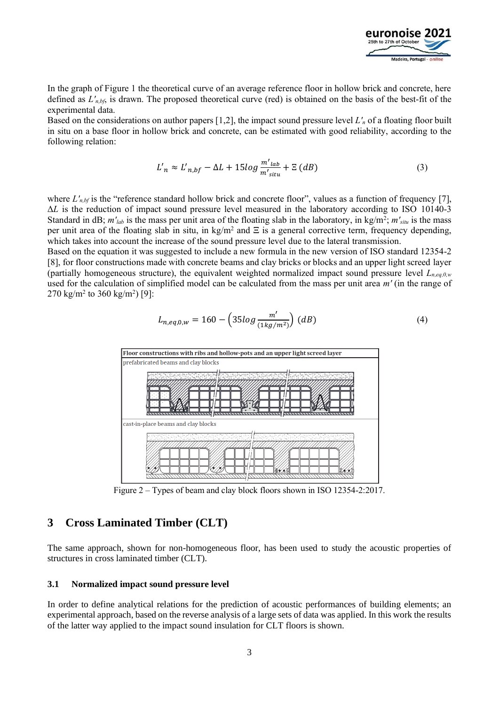

In the graph of Figure 1 the theoretical curve of an average reference floor in hollow brick and concrete, here defined as *L′n,bf*, is drawn. The proposed theoretical curve (red) is obtained on the basis of the best-fit of the experimental data.

Based on the considerations on author papers [1,2], the impact sound pressure level *L′<sup>n</sup>* of a floating floor built in situ on a base floor in hollow brick and concrete, can be estimated with good reliability, according to the following relation:

$$
L'_{n} \approx L'_{n,bf} - \Delta L + 15log \frac{m'_{lab}}{m'_{sltu}} + \Xi (dB)
$$
 (3)

where  $L'_{n,bf}$  is the "reference standard hollow brick and concrete floor", values as a function of frequency [7], Δ*L* is the reduction of impact sound pressure level measured in the laboratory according to ISO 10140-3 Standard in dB;  $m'_{lab}$  is the mass per unit area of the floating slab in the laboratory, in  $kg/m^2$ ;  $m'_{situ}$  is the mass per unit area of the floating slab in situ, in kg/m<sup>2</sup> and  $\Xi$  is a general corrective term, frequency depending, which takes into account the increase of the sound pressure level due to the lateral transmission.

Based on the equation it was suggested to include a new formula in the new version of ISO standard 12354-2 [8], for floor constructions made with concrete beams and clay bricks or blocks and an upper light screed layer (partially homogeneous structure), the equivalent weighted normalized impact sound pressure level *Ln,eq,0,w* used for the calculation of simplified model can be calculated from the mass per unit area *m′* (in the range of  $270 \text{ kg/m}^2$  to  $360 \text{ kg/m}^2$ ) [9]:

$$
L_{n,eq,0,w} = 160 - \left(35\log\frac{m'}{(1\log/m^2)}\right) (dB)
$$
 (4)



Figure 2 – Types of beam and clay block floors shown in ISO 12354-2:2017.

### **3 Cross Laminated Timber (CLT)**

The same approach, shown for non-homogeneous floor, has been used to study the acoustic properties of structures in cross laminated timber (CLT).

#### **3.1 Normalized impact sound pressure level**

In order to define analytical relations for the prediction of acoustic performances of building elements; an experimental approach, based on the reverse analysis of a large sets of data was applied. In this work the results of the latter way applied to the impact sound insulation for CLT floors is shown.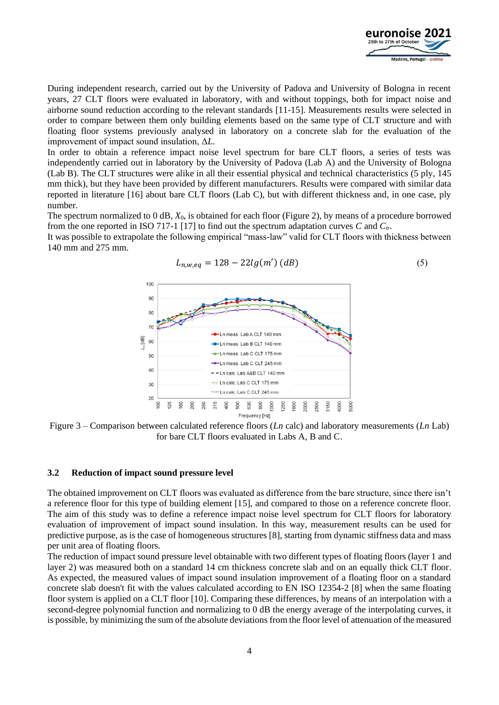

During independent research, carried out by the University of Padova and University of Bologna in recent years, 27 CLT floors were evaluated in laboratory, with and without toppings, both for impact noise and airborne sound reduction according to the relevant standards [11-15]. Measurements results were selected in order to compare between them only building elements based on the same type of CLT structure and with floating floor systems previously analysed in laboratory on a concrete slab for the evaluation of the improvement of impact sound insulation, Δ*L*.

In order to obtain a reference impact noise level spectrum for bare CLT floors, a series of tests was independently carried out in laboratory by the University of Padova (Lab A) and the University of Bologna (Lab B). The CLT structures were alike in all their essential physical and technical characteristics (5 ply, 145 mm thick), but they have been provided by different manufacturers. Results were compared with similar data reported in literature [16] about bare CLT floors (Lab C), but with different thickness and, in one case, ply number.

The spectrum normalized to 0 dB, *X*0, is obtained for each floor (Figure 2), by means of a procedure borrowed from the one reported in ISO 717-1 [17] to find out the spectrum adaptation curves *C* and *Ctr*.

It was possible to extrapolate the following empirical "mass-law" valid for CLT floors with thickness between 140 mm and 275 mm.



$$
L_{n,w,eq} = 128 - 22lg(m')(dB)
$$
 (5)



#### **3.2 Reduction of impact sound pressure level**

The obtained improvement on CLT floors was evaluated as difference from the bare structure, since there isn't a reference floor for this type of building element [15], and compared to those on a reference concrete floor. The aim of this study was to define a reference impact noise level spectrum for CLT floors for laboratory evaluation of improvement of impact sound insulation. In this way, measurement results can be used for predictive purpose, as is the case of homogeneous structures [8], starting from dynamic stiffness data and mass per unit area of floating floors.

The reduction of impact sound pressure level obtainable with two different types of floating floors (layer 1 and layer 2) was measured both on a standard 14 cm thickness concrete slab and on an equally thick CLT floor. As expected, the measured values of impact sound insulation improvement of a floating floor on a standard concrete slab doesn't fit with the values calculated according to EN ISO 12354-2 [8] when the same floating floor system is applied on a CLT floor [10]. Comparing these differences, by means of an interpolation with a second-degree polynomial function and normalizing to 0 dB the energy average of the interpolating curves, it is possible, by minimizing the sum of the absolute deviations from the floor level of attenuation of the measured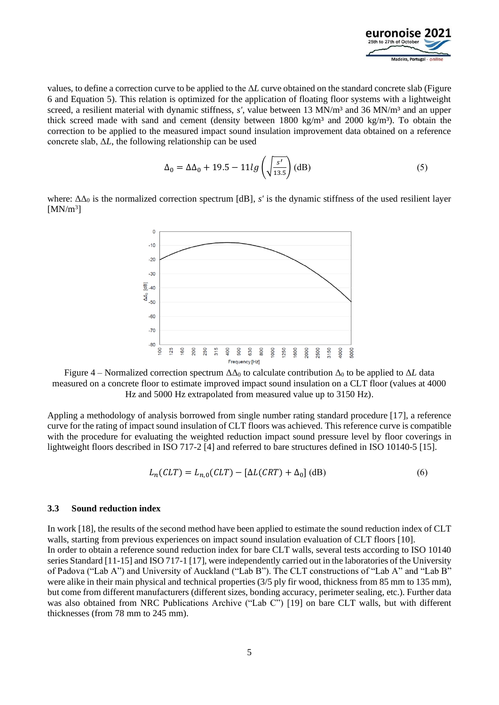

values, to define a correction curve to be applied to the Δ*L* curve obtained on the standard concrete slab (Figure 6 and Equation 5). This relation is optimized for the application of floating floor systems with a lightweight screed, a resilient material with dynamic stiffness, *s'*, value between 13 MN/m<sup>3</sup> and 36 MN/m<sup>3</sup> and an upper thick screed made with sand and cement (density between 1800 kg/m<sup>3</sup> and 2000 kg/m<sup>3</sup>). To obtain the correction to be applied to the measured impact sound insulation improvement data obtained on a reference concrete slab, Δ*L*, the following relationship can be used

$$
\Delta_0 = \Delta \Delta_0 + 19.5 - 11lg\left(\sqrt{\frac{s'}{13.5}}\right) \text{(dB)}\tag{5}
$$

where:  $\Delta\Delta_0$  is the normalized correction spectrum [dB], *s'* is the dynamic stiffness of the used resilient layer  $[MN/m<sup>3</sup>]$ 



Figure 4 – Normalized correction spectrum  $\Delta\Delta_0$  to calculate contribution  $\Delta_0$  to be applied to  $\Delta L$  data measured on a concrete floor to estimate improved impact sound insulation on a CLT floor (values at 4000 Hz and 5000 Hz extrapolated from measured value up to 3150 Hz).

Appling a methodology of analysis borrowed from single number rating standard procedure [17], a reference curve for the rating of impact sound insulation of CLT floors was achieved. This reference curve is compatible with the procedure for evaluating the weighted reduction impact sound pressure level by floor coverings in lightweight floors described in ISO 717-2 [4] and referred to bare structures defined in ISO 10140-5 [15].

$$
L_nCLT) = L_{n,0}(CLT) - [\Delta L(CRT) + \Delta_0] \, (dB)
$$
\n<sup>(6)</sup>

#### **3.3 Sound reduction index**

In work [18], the results of the second method have been applied to estimate the sound reduction index of CLT walls, starting from previous experiences on impact sound insulation evaluation of CLT floors [10]. In order to obtain a reference sound reduction index for bare CLT walls, several tests according to ISO 10140 series Standard [11-15] and ISO 717-1 [17], were independently carried out in the laboratories of the University of Padova ("Lab A") and University of Auckland ("Lab B"). The CLT constructions of "Lab A" and "Lab B" were alike in their main physical and technical properties (3/5 ply fir wood, thickness from 85 mm to 135 mm), but come from different manufacturers (different sizes, bonding accuracy, perimeter sealing, etc.). Further data was also obtained from NRC Publications Archive ("Lab C") [19] on bare CLT walls, but with different thicknesses (from 78 mm to 245 mm).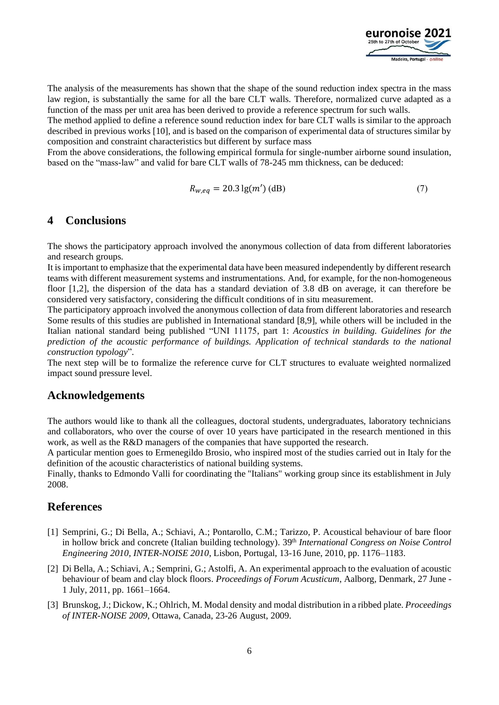

The analysis of the measurements has shown that the shape of the sound reduction index spectra in the mass law region, is substantially the same for all the bare CLT walls. Therefore, normalized curve adapted as a function of the mass per unit area has been derived to provide a reference spectrum for such walls.

The method applied to define a reference sound reduction index for bare CLT walls is similar to the approach described in previous works [10], and is based on the comparison of experimental data of structures similar by composition and constraint characteristics but different by surface mass

From the above considerations, the following empirical formula for single-number airborne sound insulation, based on the "mass-law" and valid for bare CLT walls of 78-245 mm thickness, can be deduced:

$$
R_{w,eq} = 20.3 \lg(m') \text{ (dB)}
$$
\n<sup>(7)</sup>

## **4 Conclusions**

The shows the participatory approach involved the anonymous collection of data from different laboratories and research groups.

It is important to emphasize that the experimental data have been measured independently by different research teams with different measurement systems and instrumentations. And, for example, for the non-homogeneous floor [1,2], the dispersion of the data has a standard deviation of 3.8 dB on average, it can therefore be considered very satisfactory, considering the difficult conditions of in situ measurement.

The participatory approach involved the anonymous collection of data from different laboratories and research Some results of this studies are published in International standard [8,9], while others will be included in the Italian national standard being published "UNI 11175, part 1: *Acoustics in building. Guidelines for the prediction of the acoustic performance of buildings. Application of technical standards to the national construction typology*".

The next step will be to formalize the reference curve for CLT structures to evaluate weighted normalized impact sound pressure level.

### **Acknowledgements**

The authors would like to thank all the colleagues, doctoral students, undergraduates, laboratory technicians and collaborators, who over the course of over 10 years have participated in the research mentioned in this work, as well as the R&D managers of the companies that have supported the research.

A particular mention goes to Ermenegildo Brosio, who inspired most of the studies carried out in Italy for the definition of the acoustic characteristics of national building systems.

Finally, thanks to Edmondo Valli for coordinating the "Italians" working group since its establishment in July 2008.

# **References**

- [1] Semprini, G.; Di Bella, A.; Schiavi, A.; Pontarollo, C.M.; Tarizzo, P. Acoustical behaviour of bare floor in hollow brick and concrete (Italian building technology). 39th *International Congress on Noise Control Engineering 2010, INTER-NOISE 2010*, Lisbon, Portugal, 13-16 June, 2010, pp. 1176–1183.
- [2] Di Bella, A.; Schiavi, A.; Semprini, G.; Astolfi, A. An experimental approach to the evaluation of acoustic behaviour of beam and clay block floors. *Proceedings of Forum Acusticum*, Aalborg, Denmark, 27 June - 1 July, 2011, pp. 1661–1664.
- [3] Brunskog, J.; Dickow, K.; Ohlrich, M. Modal density and modal distribution in a ribbed plate. *Proceedings of INTER-NOISE 2009*, Ottawa, Canada, 23-26 August, 2009.